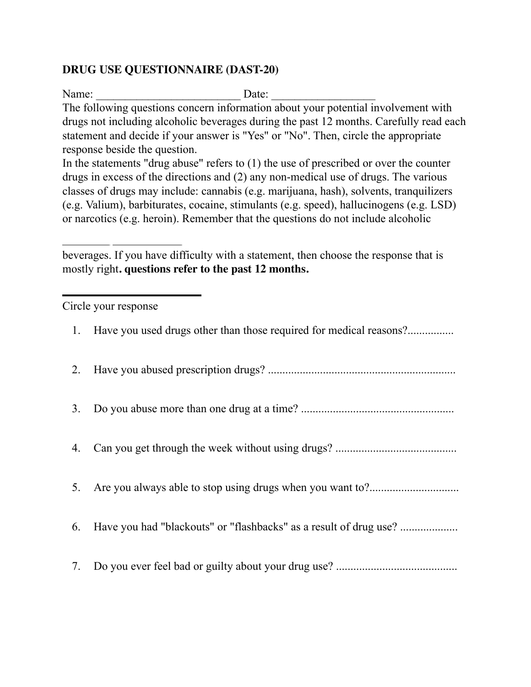## **DRUG USE QUESTIONNAIRE (DAST-20)**

Name: \_\_\_\_\_\_\_\_\_\_\_\_\_\_\_\_\_\_\_\_\_\_\_\_\_ Date: \_\_\_\_\_\_\_\_\_\_\_\_\_\_\_\_\_\_ The following questions concern information about your potential involvement with drugs not including alcoholic beverages during the past 12 months. Carefully read each statement and decide if your answer is "Yes" or "No". Then, circle the appropriate response beside the question.

In the statements "drug abuse" refers to (1) the use of prescribed or over the counter drugs in excess of the directions and (2) any non-medical use of drugs. The various classes of drugs may include: cannabis (e.g. marijuana, hash), solvents, tranquilizers (e.g. Valium), barbiturates, cocaine, stimulants (e.g. speed), hallucinogens (e.g. LSD) or narcotics (e.g. heroin). Remember that the questions do not include alcoholic

beverages. If you have difficulty with a statement, then choose the response that is mostly right**. questions refer to the past 12 months.**

Circle your response

| 1. | Have you used drugs other than those required for medical reasons? |
|----|--------------------------------------------------------------------|
| 2. |                                                                    |
| 3. |                                                                    |
| 4. |                                                                    |
| 5. |                                                                    |
| 6. |                                                                    |
| 7. |                                                                    |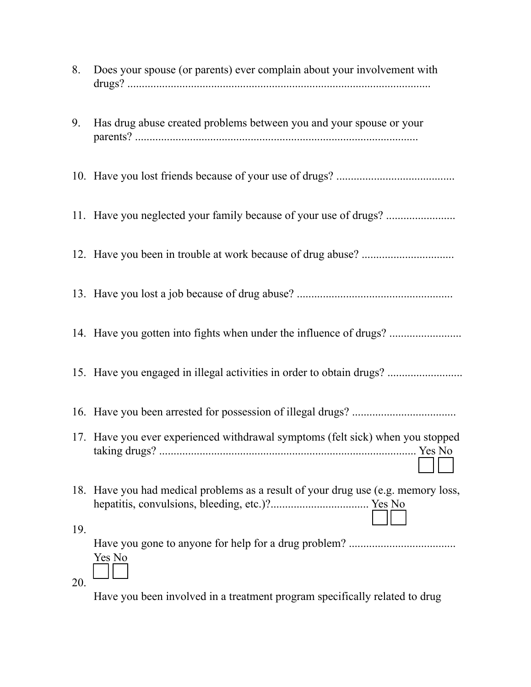| 8.         | Does your spouse (or parents) ever complain about your involvement with           |
|------------|-----------------------------------------------------------------------------------|
| 9.         | Has drug abuse created problems between you and your spouse or your               |
|            |                                                                                   |
|            |                                                                                   |
|            |                                                                                   |
|            |                                                                                   |
|            |                                                                                   |
|            | 15. Have you engaged in illegal activities in order to obtain drugs?              |
|            |                                                                                   |
|            | 17. Have you ever experienced withdrawal symptoms (felt sick) when you stopped    |
|            | 18. Have you had medical problems as a result of your drug use (e.g. memory loss, |
| 19.<br>20. | Yes No                                                                            |
|            |                                                                                   |

Have you been involved in a treatment program specifically related to drug